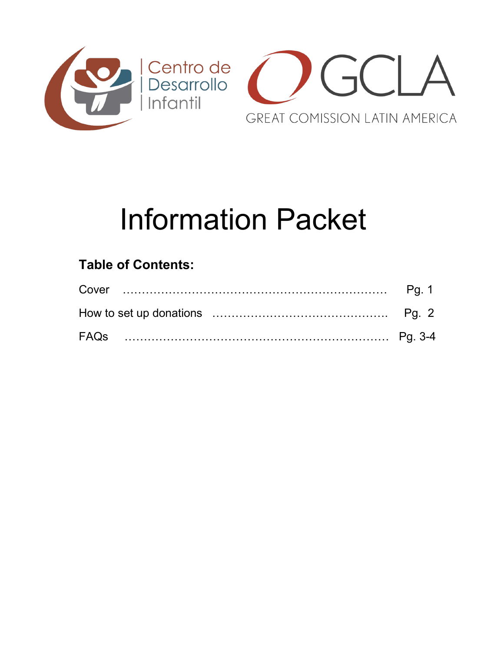

# Information Packet

## **Table of Contents:**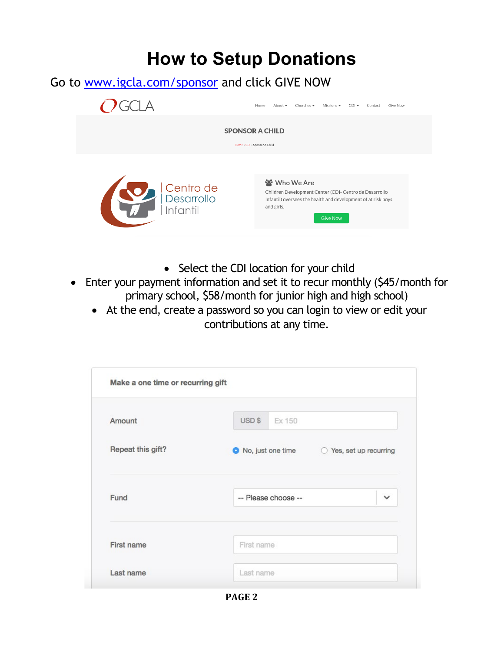## **How to Setup Donations**

Go to www.igcla.com/sponsor and click GIVE NOW



- Select the CDI location for your child
- Enter your payment information and set it to recur monthly (\$45/month for primary school, \$58/month for junior high and high school)
	- At the end, create a password so you can login to view or edit your contributions at any time.

| Amount            | USD \$<br>Ex 150                              |              |
|-------------------|-----------------------------------------------|--------------|
| Repeat this gift? | ● No, just one time ● ○ Yes, set up recurring |              |
|                   |                                               |              |
| Fund              | -- Please choose --                           | $\checkmark$ |
|                   |                                               |              |

**PAGE 2**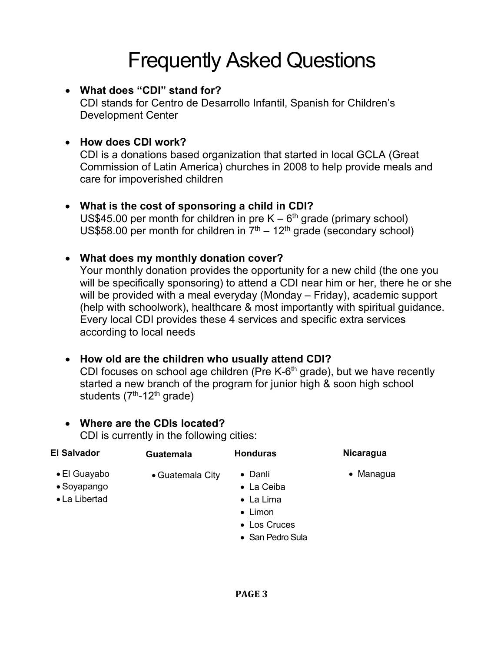# Frequently Asked Questions

#### x **What does "CDI" stand for?**

CDI stands for Centro de Desarrollo Infantil, Spanish for Children's Development Center

#### x **How does CDI work?**

CDI is a donations based organization that started in local GCLA (Great Commission of Latin America) churches in 2008 to help provide meals and care for impoverished children

#### x **What is the cost of sponsoring a child in CDI?**

US\$45.00 per month for children in pre  $K - 6<sup>th</sup>$  grade (primary school) US\$58.00 per month for children in  $7<sup>th</sup> - 12<sup>th</sup>$  grade (secondary school)

#### x **What does my monthly donation cover?**

Your monthly donation provides the opportunity for a new child (the one you will be specifically sponsoring) to attend a CDI near him or her, there he or she will be provided with a meal everyday (Monday – Friday), academic support (help with schoolwork), healthcare & most importantly with spiritual guidance. Every local CDI provides these 4 services and specific extra services according to local needs

#### x **How old are the children who usually attend CDI?**

CDI focuses on school age children (Pre K-6<sup>th</sup> grade), but we have recently started a new branch of the program for junior high & soon high school students  $(7<sup>th</sup> - 12<sup>th</sup>$  grade)

#### x **Where are the CDIs located?**

CDI is currently in the following cities:

| <b>El Salvador</b>                                   | <b>Guatemala</b> | <b>Honduras</b>                                                                                   | <b>Nicaragua</b>  |
|------------------------------------------------------|------------------|---------------------------------------------------------------------------------------------------|-------------------|
| $\bullet$ El Guayabo<br>• Soyapango<br>• La Libertad | • Guatemala City | • Danli<br>• La Ceiba<br>$\bullet$ La Lima<br>$\bullet$ Limon<br>• Los Cruces<br>• San Pedro Sula | $\bullet$ Managua |